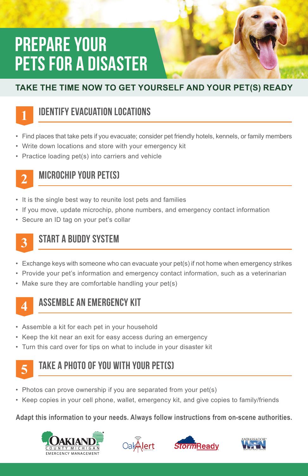# PREPARE YOUR PETS FOR A DISASTER

### **TAKE THE TIME NOW TO GET YOURSELF AND YOUR PET(S) READY**



## Identify evacuation locations

- Find places that take pets if you evacuate; consider pet friendly hotels, kennels, or family members
- Write down locations and store with your emergency kit
- Practice loading pet(s) into carriers and vehicle



## MICROCHIP YOUR PET(S)

- It is the single best way to reunite lost pets and families
- If you move, update microchip, phone numbers, and emergency contact information
- Secure an ID tag on your pet's collar

## **3**

## START A BUDDY SYSTEM

- Exchange keys with someone who can evacuate your pet(s) if not home when emergency strikes
- Provide your pet's information and emergency contact information, such as a veterinarian
- Make sure they are comfortable handling your pet(s)



## Assemble an emergency kit

- Assemble a kit for each pet in your household
- Keep the kit near an exit for easy access during an emergency
- Turn this card over for tips on what to include in your disaster kit



### Take a photo of you with your pet(s)

- Photos can prove ownership if you are separated from your pet(s)
- Keep copies in your cell phone, wallet, emergency kit, and give copies to family/friends

#### **Adapt this information to your needs. Always follow instructions from on-scene authorities.**